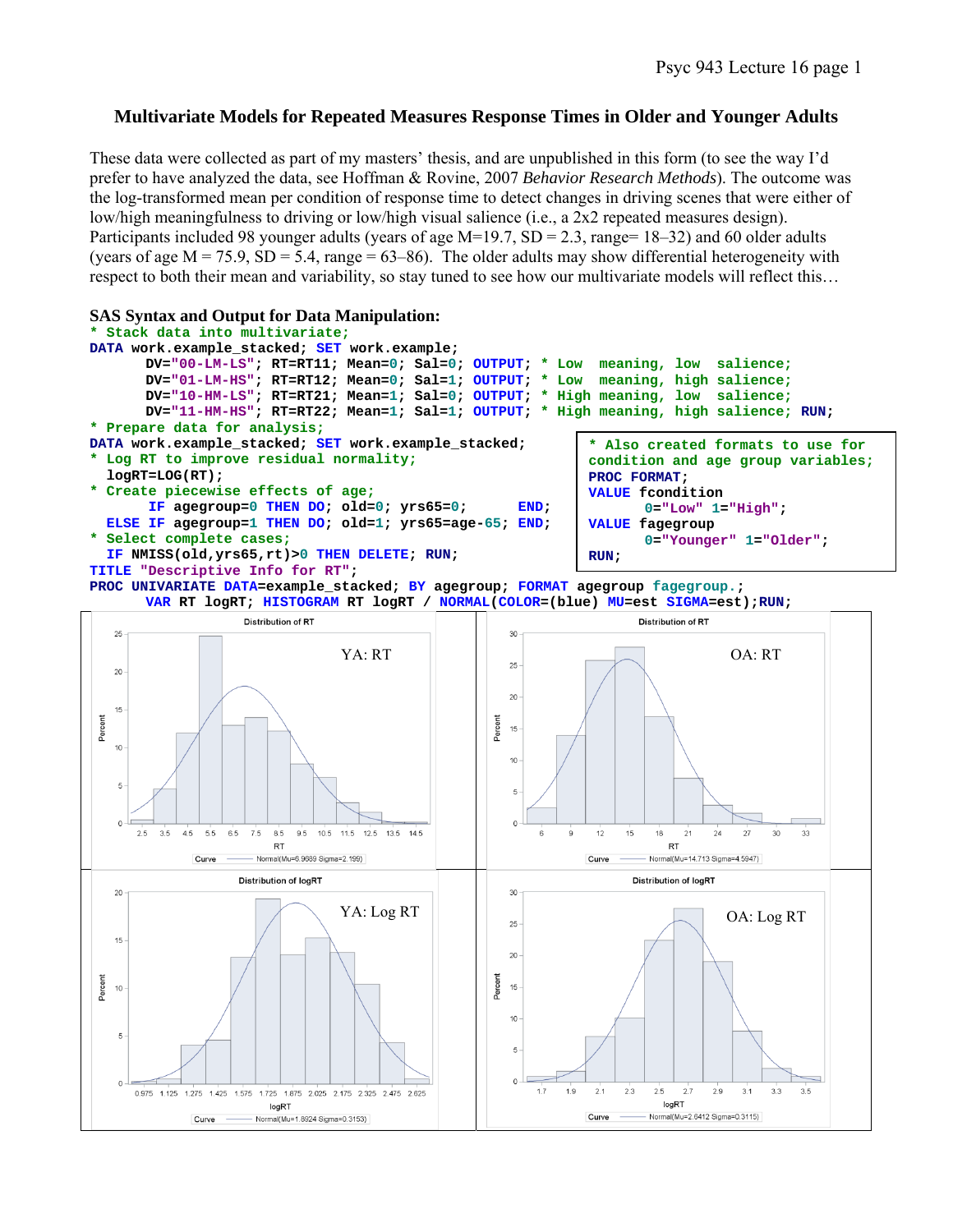# **Multivariate Models for Repeated Measures Response Times in Older and Younger Adults**

These data were collected as part of my masters' thesis, and are unpublished in this form (to see the way I'd prefer to have analyzed the data, see Hoffman & Rovine, 2007 *Behavior Research Methods*). The outcome was the log-transformed mean per condition of response time to detect changes in driving scenes that were either of low/high meaningfulness to driving or low/high visual salience (i.e., a 2x2 repeated measures design). Participants included 98 younger adults (years of age  $M=19.7$ ,  $SD = 2.3$ , range= 18–32) and 60 older adults (years of age  $M = 75.9$ ,  $SD = 5.4$ , range = 63–86). The older adults may show differential heterogeneity with respect to both their mean and variability, so stay tuned to see how our multivariate models will reflect this…

## **SAS Syntax and Output for Data Manipulation:**



**PROC UNIVARIATE DATA=example\_stacked; BY agegroup; FORMAT agegroup fagegroup.; VAR RT logRT; HISTOGRAM RT logRT / NORMAL(COLOR=(blue) MU=est SIGMA=est);RUN;** 

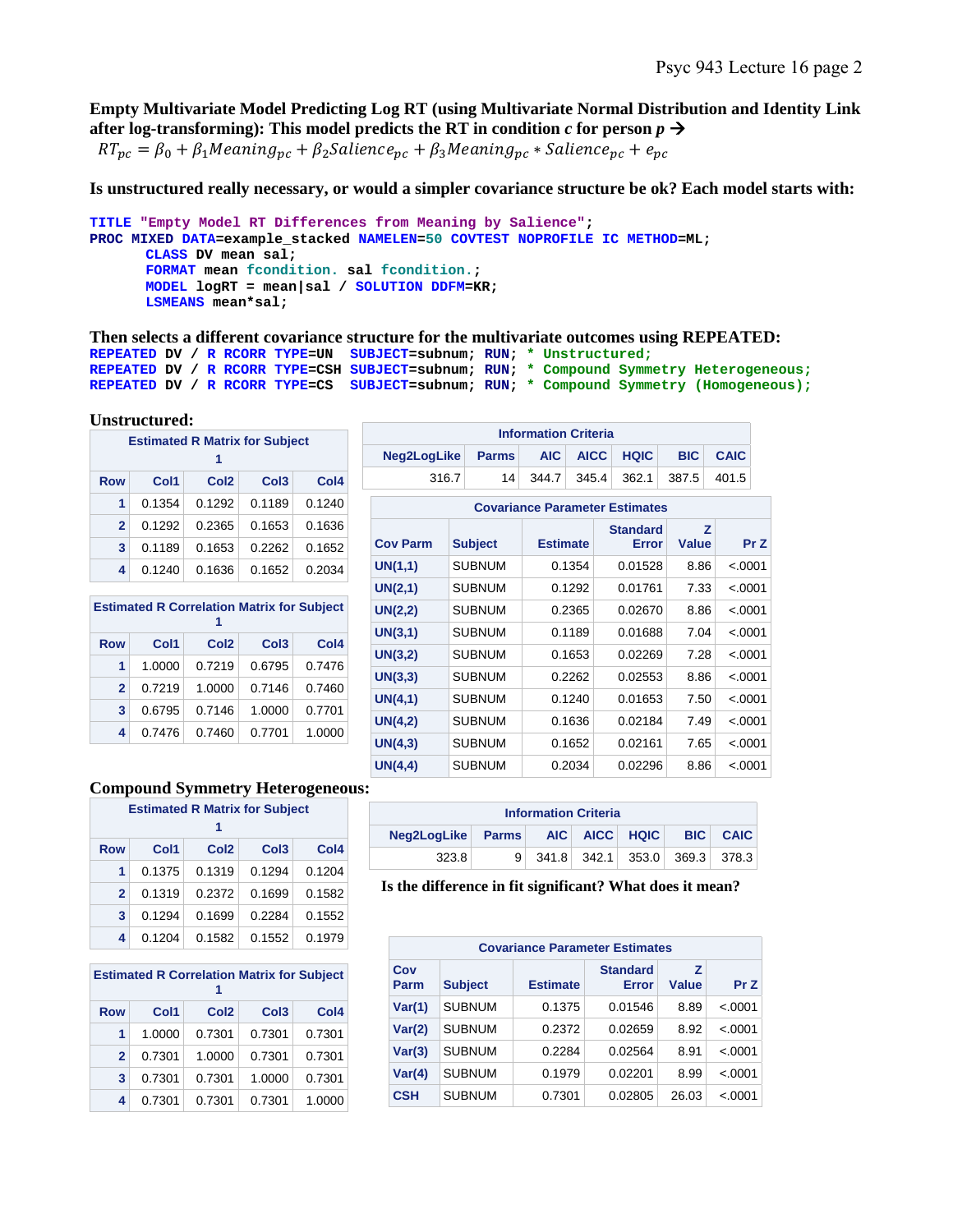**Empty Multivariate Model Predicting Log RT (using Multivariate Normal Distribution and Identity Link**  after log-transforming): This model predicts the RT in condition  $c$  for person  $p \rightarrow$ 

 $RT_{nc} = \beta_0 + \beta_1 Meaning_{nc} + \beta_2 Salience_{nc} + \beta_3 Meaning_{nc} * Salience_{nc} + e_{nc}$ 

**Is unstructured really necessary, or would a simpler covariance structure be ok? Each model starts with:** 

```
TITLE "Empty Model RT Differences from Meaning by Salience"; 
PROC MIXED DATA=example_stacked NAMELEN=50 COVTEST NOPROFILE IC METHOD=ML; 
      CLASS DV mean sal; 
      FORMAT mean fcondition. sal fcondition.; 
      MODEL logRT = mean|sal / SOLUTION DDFM=KR; 
      LSMEANS mean*sal;
```
**Then selects a different covariance structure for the multivariate outcomes using REPEATED: REPEATED DV / R RCORR TYPE=UN SUBJECT=subnum; RUN; \* Unstructured; REPEATED DV / R RCORR TYPE=CSH SUBJECT=subnum; RUN; \* Compound Symmetry Heterogeneous; REPEATED DV / R RCORR TYPE=CS SUBJECT=subnum; RUN; \* Compound Symmetry (Homogeneous);**

#### **Unstructured:**

|              | <b>Estimated R Matrix for Subject</b><br>1 |                  |                  |                  |  |  |  |
|--------------|--------------------------------------------|------------------|------------------|------------------|--|--|--|
| <b>Row</b>   | Col1                                       | Col <sub>2</sub> | Col <sub>3</sub> | Col <sub>4</sub> |  |  |  |
| 1            | 0.1354                                     | 0.1292           | 0.1189           | 0.1240           |  |  |  |
| $\mathbf{2}$ | 0.1292                                     | 0.2365           | 0.1653           | 0.1636           |  |  |  |
| 3            | 0.1189                                     | 0.1653           | 0.2262           | 0.1652           |  |  |  |
| 4            | 0.1240                                     | 0.1636           | 0.1652           | 0.2034           |  |  |  |

| <b>Estimated R Correlation Matrix for Subject</b> |        |                  |                  |                  |  |  |
|---------------------------------------------------|--------|------------------|------------------|------------------|--|--|
| Row                                               | Col1   | Col <sub>2</sub> | Col <sub>3</sub> | Col <sub>4</sub> |  |  |
| 1                                                 | 1.0000 | 0.7219           | 0.6795           | 0.7476           |  |  |
| $\mathbf{2}$                                      | 0.7219 | 1.0000           | 0.7146           | 0.7460           |  |  |
| 3                                                 | 0.6795 | 0.7146           | 1.0000           | 0.7701           |  |  |
| 4                                                 | 0.7476 | 0.7460           | 0.7701           | 1.0000           |  |  |

| <b>Information Criteria</b>              |  |  |  |  |                                  |  |  |
|------------------------------------------|--|--|--|--|----------------------------------|--|--|
| Neg2LogLike Parms AIC AICC HQIC BIC CAIC |  |  |  |  |                                  |  |  |
| 316.7                                    |  |  |  |  | 14 344.7 345.4 362.1 387.5 401.5 |  |  |

|                 | <b>Covariance Parameter Estimates</b> |                 |                          |            |          |  |  |  |
|-----------------|---------------------------------------|-----------------|--------------------------|------------|----------|--|--|--|
| <b>Cov Parm</b> | <b>Subject</b>                        | <b>Estimate</b> | <b>Standard</b><br>Error | z<br>Value | Pr Z     |  |  |  |
| UN(1,1)         | <b>SUBNUM</b>                         | 0.1354          | 0.01528                  | 8.86       | < .0001  |  |  |  |
| UN(2,1)         | <b>SUBNUM</b>                         | 0.1292          | 0.01761                  | 7.33       | < 0.0001 |  |  |  |
| UN(2,2)         | <b>SUBNUM</b>                         | 0.2365          | 0.02670                  | 8.86       | < 0.0001 |  |  |  |
| UN(3,1)         | <b>SUBNUM</b>                         | 0.1189          | 0.01688                  | 7.04       | < .0001  |  |  |  |
| UN(3,2)         | <b>SUBNUM</b>                         | 0.1653          | 0.02269                  | 7.28       | < 0.0001 |  |  |  |
| UN(3,3)         | <b>SUBNUM</b>                         | 0.2262          | 0.02553                  | 8.86       | $-.0001$ |  |  |  |
| UN(4,1)         | <b>SUBNUM</b>                         | 0.1240          | 0.01653                  | 7.50       | < .0001  |  |  |  |
| UN(4,2)         | <b>SUBNUM</b>                         | 0.1636          | 0.02184                  | 7.49       | < 0.0001 |  |  |  |
| UN(4,3)         | <b>SUBNUM</b>                         | 0.1652          | 0.02161                  | 7.65       | < 0.0001 |  |  |  |
| UN(4,4)         | <b>SUBNUM</b>                         | 0.2034          | 0.02296                  | 8.86       | < 0.0001 |  |  |  |

#### **Compound Symmetry Heterogeneous:**

|              | <b>Estimated R Matrix for Subject</b><br>1 |                  |                  |        |  |  |  |
|--------------|--------------------------------------------|------------------|------------------|--------|--|--|--|
| Row          | Col1                                       | Col <sub>2</sub> | Col <sub>3</sub> | Col4   |  |  |  |
| 1            | 0.1375                                     | 0.1319           | 0.1294           | 0.1204 |  |  |  |
| $\mathbf{2}$ | 0.1319                                     | 0.2372           | 0.1699           | 0.1582 |  |  |  |
| 3            | 0.1294                                     | 0.1699           | 0.2284           | 0.1552 |  |  |  |
| 4            | 0.1204                                     | 0.1582           | 0.1552           | 0.1979 |  |  |  |

| <b>Estimated R Correlation Matrix for Subject</b><br>1 |        |                  |                  |        |  |  |
|--------------------------------------------------------|--------|------------------|------------------|--------|--|--|
| <b>Row</b>                                             | Col1   | Col <sub>2</sub> | Col <sub>3</sub> | Col4   |  |  |
| 1                                                      | 1.0000 | 0.7301           | 0.7301           | 0.7301 |  |  |
| $\mathbf{2}$                                           | 0.7301 | 1.0000           | 0.7301           | 0.7301 |  |  |
| 3                                                      | 0.7301 | 0.7301           | 1.0000           | 0.7301 |  |  |
| 4                                                      | 0.7301 | 0.7301           | 0.7301           | 1.0000 |  |  |

| <b>Information Criteria</b>     |   |  |  |                               |  |                 |  |
|---------------------------------|---|--|--|-------------------------------|--|-----------------|--|
| Neg2LogLike Parms AIC AICC HQIC |   |  |  |                               |  | <b>BIC CAIC</b> |  |
| 323.8                           | 9 |  |  | 341.8 342.1 353.0 369.3 378.3 |  |                 |  |

| <b>Covariance Parameter Estimates</b> |                |                 |                          |            |          |  |  |  |
|---------------------------------------|----------------|-----------------|--------------------------|------------|----------|--|--|--|
| Cov<br>Parm                           | <b>Subject</b> | <b>Estimate</b> | <b>Standard</b><br>Error | z<br>Value | Pr Z     |  |  |  |
| Var(1)                                | <b>SUBNUM</b>  | 0.1375          | 0.01546                  | 8.89       | $-.0001$ |  |  |  |
| Var(2)                                | <b>SUBNUM</b>  | 0.2372          | 0.02659                  | 8.92       | $-.0001$ |  |  |  |
| Var(3)                                | <b>SUBNUM</b>  | 0.2284          | 0.02564                  | 8.91       | $-.0001$ |  |  |  |
| Var(4)                                | <b>SUBNUM</b>  | 0.1979          | 0.02201                  | 8.99       | $-.0001$ |  |  |  |
| <b>CSH</b>                            | <b>SUBNUM</b>  | 0.7301          | 0.02805                  | 26.03      | $-.0001$ |  |  |  |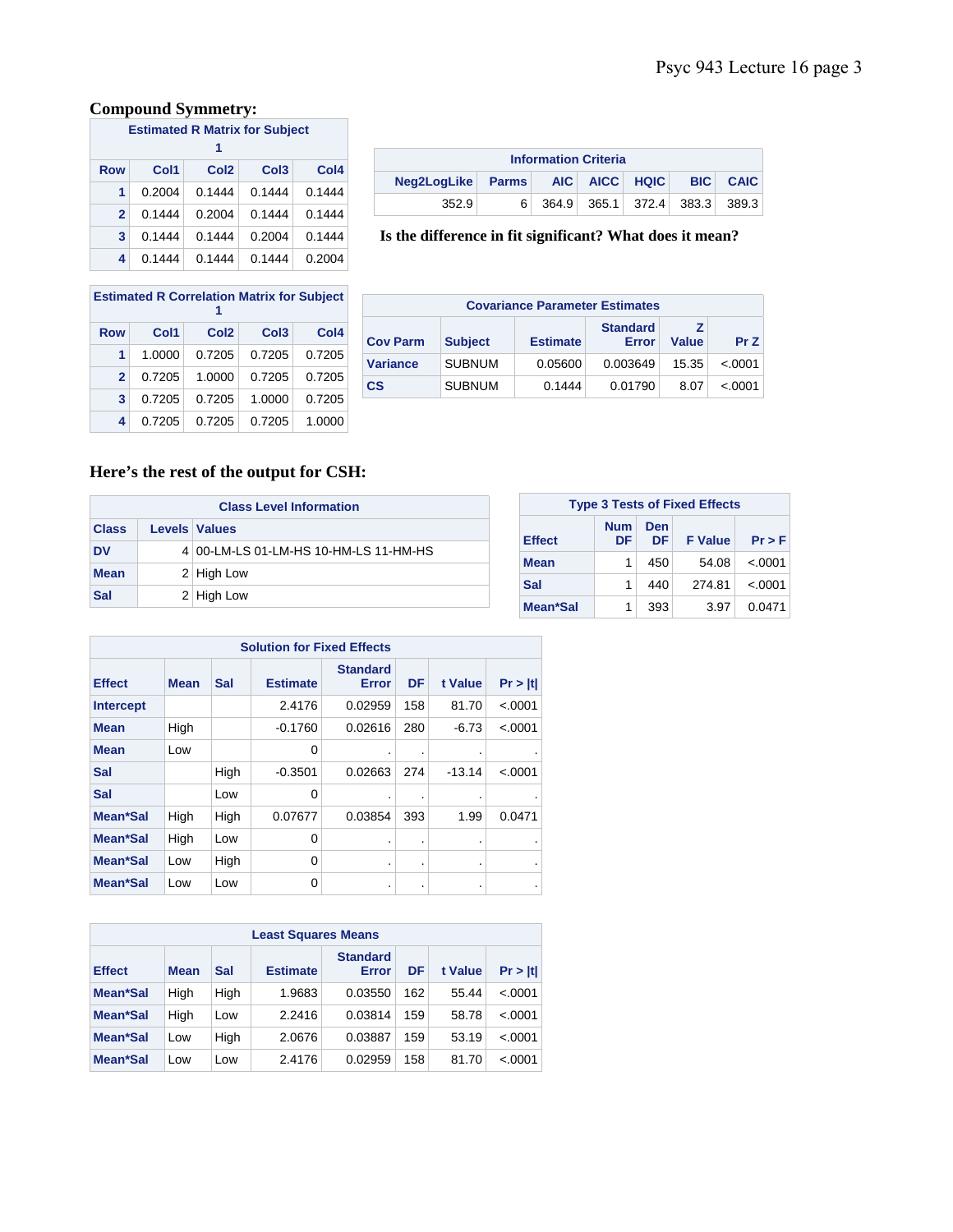# **Compound Symmetry:**

| <b>Estimated R Matrix for Subject</b><br>1 |        |                  |                  |                  |  |  |
|--------------------------------------------|--------|------------------|------------------|------------------|--|--|
| <b>Row</b>                                 | Col1   | Col <sub>2</sub> | Col <sub>3</sub> | Col <sub>4</sub> |  |  |
| 1                                          | 0.2004 | 0.1444           | 0.1444           | 0.1444           |  |  |
| $\mathbf{2}$                               | 0.1444 | 0.2004           | 0.1444           | 0.1444           |  |  |
| 3                                          | 0.1444 | 0.1444           | 0.2004           | 0.1444           |  |  |
| 4                                          | 0.1444 | 0.1444           | 0.1444           | 0.2004           |  |  |

| <b>Information Criteria</b>     |    |  |  |  |  |                               |  |
|---------------------------------|----|--|--|--|--|-------------------------------|--|
| Neg2LogLike Parms AIC AICC HQIC |    |  |  |  |  | <b>BIC CAIC</b>               |  |
| 352.9                           | 6. |  |  |  |  | 364.9 365.1 372.4 383.3 389.3 |  |

**Is the difference in fit significant? What does it mean?** 

| <b>Estimated R Correlation Matrix for Subject</b> |        |                  |                  |                  |  |  |
|---------------------------------------------------|--------|------------------|------------------|------------------|--|--|
| <b>Row</b>                                        | Col1   | Col <sub>2</sub> | Col <sub>3</sub> | Col <sub>4</sub> |  |  |
| 1                                                 | 1.0000 | 0.7205           | 0.7205           | 0.7205           |  |  |
| $\mathbf{2}$                                      | 0.7205 | 1.0000           | 0.7205           | 0.7205           |  |  |
| 3                                                 | 0.7205 | 0.7205           | 1.0000           | 0.7205           |  |  |
| 4                                                 | 0.7205 | 0.7205           | 0.7205           | 1.0000           |  |  |

| <b>Covariance Parameter Estimates</b> |                |                 |                          |              |          |  |
|---------------------------------------|----------------|-----------------|--------------------------|--------------|----------|--|
| <b>Cov Parm</b>                       | <b>Subject</b> | <b>Estimate</b> | <b>Standard</b><br>Error | <b>Value</b> | PrZ      |  |
| <b>Variance</b>                       | <b>SUBNUM</b>  | 0.05600         | 0.003649                 | 15.35        | < 0.0001 |  |
| $\mathbf{c}\mathbf{s}$                | <b>SUBNUM</b>  | 0.1444          | 0.01790                  | 8.07         | < 0.0001 |  |

# **Here's the rest of the output for CSH:**

| <b>Class Level Information</b> |  |                                       |  |  |  |  |  |
|--------------------------------|--|---------------------------------------|--|--|--|--|--|
| <b>Class</b>                   |  | <b>Levels Values</b>                  |  |  |  |  |  |
| <b>DV</b>                      |  | 4 00-LM-LS 01-LM-HS 10-HM-LS 11-HM-HS |  |  |  |  |  |
| <b>Mean</b>                    |  | 2 High Low                            |  |  |  |  |  |
| Sal                            |  | 2 High Low                            |  |  |  |  |  |

 $\overline{\phantom{0}}$ 

|               | <b>Type 3 Tests of Fixed Effects</b> |           |                |          |  |  |  |  |  |
|---------------|--------------------------------------|-----------|----------------|----------|--|--|--|--|--|
| <b>Effect</b> | <b>Num</b><br>DF                     | Den<br>DF | <b>F</b> Value | $Pr$ > F |  |  |  |  |  |
| <b>Mean</b>   | 1                                    | 450       | 54.08          | < .0001  |  |  |  |  |  |
| Sal           | 1                                    | 440       | 274.81         | < 0.0001 |  |  |  |  |  |
| Mean*Sal      |                                      | 393       | 3.97           | 0.0471   |  |  |  |  |  |

|                  | <b>Solution for Fixed Effects</b> |      |                 |                          |                |          |                |  |  |  |
|------------------|-----------------------------------|------|-----------------|--------------------------|----------------|----------|----------------|--|--|--|
| <b>Effect</b>    | <b>Mean</b>                       | Sal  | <b>Estimate</b> | <b>Standard</b><br>Error | DF             | t Value  | Pr >  t        |  |  |  |
| <b>Intercept</b> |                                   |      | 2.4176          | 0.02959                  | 158            | 81.70    | < .0001        |  |  |  |
| <b>Mean</b>      | High                              |      | $-0.1760$       | 0.02616                  | 280            | $-6.73$  | < 0.001        |  |  |  |
| <b>Mean</b>      | Low                               |      | 0               | ٠                        | ٠              | ٠        |                |  |  |  |
| Sal              |                                   | High | $-0.3501$       | 0.02663                  | 274            | $-13.14$ | < .0001        |  |  |  |
| Sal              |                                   | Low  | 0               | ٠                        |                | ٠        |                |  |  |  |
| Mean*Sal         | High                              | High | 0.07677         | 0.03854                  | 393            | 1.99     | 0.0471         |  |  |  |
| Mean*Sal         | High                              | Low  | 0               | ٠                        | ٠              | ٠        |                |  |  |  |
| Mean*Sal         | Low                               | High | $\Omega$        | ٠                        | $\blacksquare$ | ٠        | $\blacksquare$ |  |  |  |
| Mean*Sal         | Low                               | Low  | 0               | ٠                        | ٠              | ٠        | $\bullet$      |  |  |  |

| <b>Least Squares Means</b> |             |      |                 |                          |     |         |         |  |  |  |
|----------------------------|-------------|------|-----------------|--------------------------|-----|---------|---------|--|--|--|
| <b>Effect</b>              | <b>Mean</b> | Sal  | <b>Estimate</b> | <b>Standard</b><br>Error | DF  | t Value | Pr >  t |  |  |  |
| Mean*Sal                   | High        | High | 1.9683          | 0.03550                  | 162 | 55.44   | < 0.001 |  |  |  |
| Mean*Sal                   | High        | Low  | 2.2416          | 0.03814                  | 159 | 58.78   | < .0001 |  |  |  |
| Mean*Sal                   | Low         | High | 2.0676          | 0.03887                  | 159 | 53.19   | < .0001 |  |  |  |
| Mean*Sal                   | Low         | Low  | 2.4176          | 0.02959                  | 158 | 81.70   | < .0001 |  |  |  |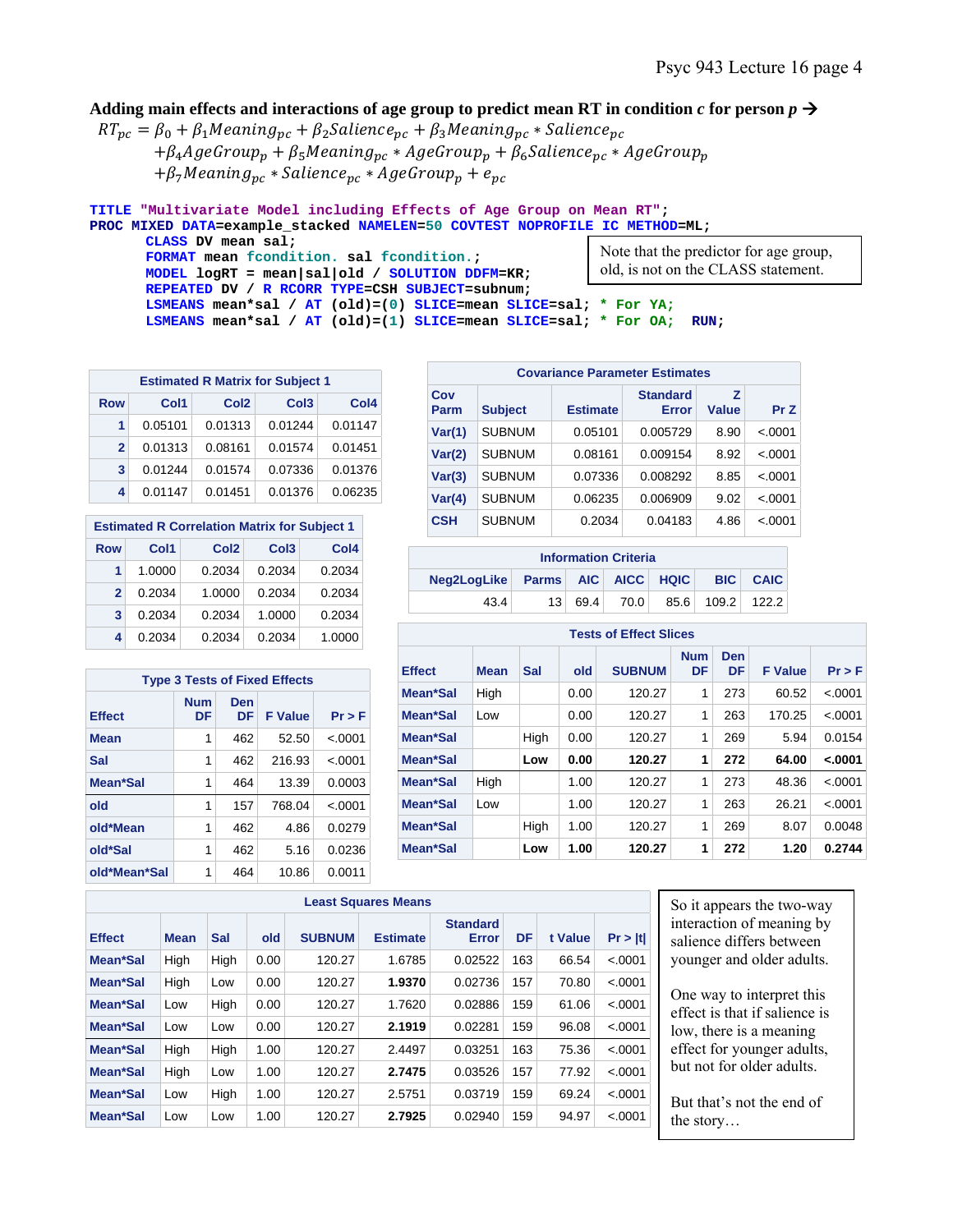## Adding main effects and interactions of age group to predict mean RT in condition *c* for person  $p \rightarrow$

 $RT_{pc} = \beta_0 + \beta_1 Meaning_{pc} + \beta_2 Salience_{pc} + \beta_3 Meaning_{pc} * Salience_{pc}$  $+ \beta_4 A$ geGrou $p_p + \beta_5 M$ eaning<sub>pc</sub> \* AgeGrou $p_p + \beta_6 S$ alience<sub>pc</sub> \* AgeGrou $p_p$  $+ \beta_7 Meaning_{pc} * Salience_{pc} * AgeGroup_p + e_{pc}$ 

```
TITLE "Multivariate Model including Effects of Age Group on Mean RT"; 
PROC MIXED DATA=example_stacked NAMELEN=50 COVTEST NOPROFILE IC METHOD=ML; 
       CLASS DV mean sal; 
       FORMAT mean fcondition. sal fcondition.; 
      MODEL logRT = mean|sal|old / SOLUTION DDFM=KR; 
       REPEATED DV / R RCORR TYPE=CSH SUBJECT=subnum; 
                                                                  Note that the predictor for age group, 
                                                                  old, is not on the CLASS statement.
```
**LSMEANS mean\*sal / AT (old)=(0) SLICE=mean SLICE=sal; \* For YA; LSMEANS mean\*sal / AT (old)=(1) SLICE=mean SLICE=sal; \* For OA; RUN;** 

| <b>Estimated R Matrix for Subject 1</b> |         |                  |                  |                  |  |  |  |  |  |  |
|-----------------------------------------|---------|------------------|------------------|------------------|--|--|--|--|--|--|
| <b>Row</b>                              | Col1    | Col <sub>2</sub> | Col <sub>3</sub> | Col <sub>4</sub> |  |  |  |  |  |  |
|                                         | 0.05101 | 0.01313          | 0.01244          | 0.01147          |  |  |  |  |  |  |
| $\mathbf{2}$                            | 0.01313 | 0.08161          | 0.01574          | 0.01451          |  |  |  |  |  |  |
| 3                                       | 0.01244 | 0.01574          | 0.07336          | 0.01376          |  |  |  |  |  |  |
| 4                                       | 0.01147 | 0.01451          | 0.01376          | 0.06235          |  |  |  |  |  |  |

|            | <b>Estimated R Correlation Matrix for Subject 1</b> |                  |                  |        |  |  |
|------------|-----------------------------------------------------|------------------|------------------|--------|--|--|
| <b>Row</b> | Col1                                                | Col <sub>2</sub> | Col <sub>3</sub> | Col4   |  |  |
| 1          | 1.0000                                              | 0.2034           | 0.2034           | 0.2034 |  |  |
| 2          | 0.2034                                              | 1.0000           | 0.2034           | 0.2034 |  |  |
| 3          | 0.2034                                              | 0.2034           | 1.0000           | 0.2034 |  |  |
| 4          | 0.2034                                              | 0.2034           | 0.2034           | 1.0000 |  |  |

| <b>Type 3 Tests of Fixed Effects</b> |                  |           |                |          |  |  |  |  |  |  |
|--------------------------------------|------------------|-----------|----------------|----------|--|--|--|--|--|--|
| <b>Effect</b>                        | <b>Num</b><br>DF | Den<br>DF | <b>F</b> Value | $Pr$ > F |  |  |  |  |  |  |
| <b>Mean</b>                          | 1                | 462       | 52.50          | $-.0001$ |  |  |  |  |  |  |
| Sal                                  | 1                | 462       | 216.93         | $-.0001$ |  |  |  |  |  |  |
| Mean*Sal                             | 1                | 464       | 13.39          | 0.0003   |  |  |  |  |  |  |
| old                                  | 1                | 157       | 768.04         | $-.0001$ |  |  |  |  |  |  |
| old*Mean                             | 1                | 462       | 4.86           | 0.0279   |  |  |  |  |  |  |
| old*Sal                              | 1                | 462       | 5.16           | 0.0236   |  |  |  |  |  |  |
| old*Mean*Sal                         | 1                | 464       | 10.86          | 0.0011   |  |  |  |  |  |  |

|             | <b>Covariance Parameter Estimates</b> |                 |                          |            |         |  |  |  |  |
|-------------|---------------------------------------|-----------------|--------------------------|------------|---------|--|--|--|--|
| Cov<br>Parm | <b>Subject</b>                        | <b>Estimate</b> | <b>Standard</b><br>Error | z<br>Value | Pr Z    |  |  |  |  |
| Var(1)      | <b>SUBNUM</b>                         | 0.05101         | 0.005729                 | 8.90       | < .0001 |  |  |  |  |
| Var(2)      | SUBNUM                                | 0.08161         | 0.009154                 | 8.92       | < .0001 |  |  |  |  |
| Var(3)      | SUBNUM                                | 0.07336         | 0.008292                 | 8.85       | < .0001 |  |  |  |  |
| Var(4)      | <b>SUBNUM</b>                         | 0.06235         | 0.006909                 | 9.02       | < .0001 |  |  |  |  |
| <b>CSH</b>  | <b>SUBNUM</b>                         | 0.2034          | 0.04183                  | 4.86       | < .0001 |  |  |  |  |

| <b>Information Criteria</b>              |  |           |      |  |                  |  |  |  |  |
|------------------------------------------|--|-----------|------|--|------------------|--|--|--|--|
| Neg2LogLike Parms AIC AICC HQIC BIC CAIC |  |           |      |  |                  |  |  |  |  |
| 43.4                                     |  | 13   69.4 | 70.0 |  | 85.6 109.2 122.2 |  |  |  |  |

| 4   | 0.2034                               |            | 0.2034     | 0.2034         | 1.0000  |               | <b>Tests of Effect Slices</b> |      |      |               |                         |                  |                |            |
|-----|--------------------------------------|------------|------------|----------------|---------|---------------|-------------------------------|------|------|---------------|-------------------------|------------------|----------------|------------|
|     | <b>Type 3 Tests of Fixed Effects</b> |            |            |                |         | <b>Effect</b> | <b>Mean</b>                   | Sal  | old  | <b>SUBNUM</b> | <b>Num</b><br><b>DF</b> | <b>Den</b><br>DF | <b>F</b> Value | $Pr$ > $F$ |
|     |                                      | <b>Num</b> | <b>Den</b> |                |         | Mean*Sal      | High                          |      | 0.00 | 120.27        | 1                       | 273              | 60.52          | < .0001    |
| ct  |                                      | DF         | <b>DF</b>  | <b>F</b> Value | Pr > F  | Mean*Sal      | Low                           |      | 0.00 | 120.27        | 1                       | 263              | 170.25         | < .0001    |
|     |                                      |            | 462        | 52.50          | < .0001 | Mean*Sal      |                               | Hiah | 0.00 | 120.27        | 1                       | 269              | 5.94           | 0.0154     |
|     |                                      |            | 462        | 216.93         | < .0001 | Mean*Sal      |                               | Low  | 0.00 | 120.27        | 1                       | 272              | 64.00          | < .0001    |
|     | n*Sal                                |            | 464        | 13.39          | 0.0003  | Mean*Sal      | High                          |      | 1.00 | 120.27        | 1                       | 273              | 48.36          | < .0001    |
|     |                                      |            | 157        | 768.04         | < .0001 | Mean*Sal      | Low                           |      | 1.00 | 120.27        | 1                       | 263              | 26.21          | < .0001    |
|     | Mean                                 |            | 462        | 4.86           | 0.0279  | Mean*Sal      |                               | High | 1.00 | 120.27        | 1                       | 269              | 8.07           | 0.0048     |
| Sal |                                      |            | 462        | 5.16           | 0.0236  | Mean*Sal      |                               | Low  | 1.00 | 120.27        | 1                       | 272              | 1.20           | 0.2744     |
|     |                                      |            |            |                |         |               |                               |      |      |               |                         |                  |                |            |

|               | <b>Least Squares Means</b> |      |      |               |                 |                          |     |         |         |  |  |  |
|---------------|----------------------------|------|------|---------------|-----------------|--------------------------|-----|---------|---------|--|--|--|
| <b>Effect</b> | <b>Mean</b>                | Sal  | old  | <b>SUBNUM</b> | <b>Estimate</b> | <b>Standard</b><br>Error | DF  | t Value | Pr >  t |  |  |  |
| Mean*Sal      | High                       | High | 0.00 | 120.27        | 1.6785          | 0.02522                  | 163 | 66.54   | < .0001 |  |  |  |
| Mean*Sal      | High                       | Low  | 0.00 | 120.27        | 1.9370          | 0.02736                  | 157 | 70.80   | < .0001 |  |  |  |
| Mean*Sal      | Low                        | High | 0.00 | 120.27        | 1.7620          | 0.02886                  | 159 | 61.06   | < .0001 |  |  |  |
| Mean*Sal      | Low                        | Low  | 0.00 | 120.27        | 2.1919          | 0.02281                  | 159 | 96.08   | < .0001 |  |  |  |
| Mean*Sal      | High                       | High | 1.00 | 120.27        | 2.4497          | 0.03251                  | 163 | 75.36   | < .0001 |  |  |  |
| Mean*Sal      | High                       | Low  | 1.00 | 120.27        | 2.7475          | 0.03526                  | 157 | 77.92   | < .0001 |  |  |  |
| Mean*Sal      | Low                        | High | 1.00 | 120.27        | 2.5751          | 0.03719                  | 159 | 69.24   | < .0001 |  |  |  |
| Mean*Sal      | Low                        | Low  | 1.00 | 120.27        | 2.7925          | 0.02940                  | 159 | 94.97   | < .0001 |  |  |  |

So it appears the two-way interaction of meaning by salience differs between younger and older adults.

One way to interpret this effect is that if salience is low, there is a meaning effect for younger adults, but not for older adults.

But that's not the end of the story…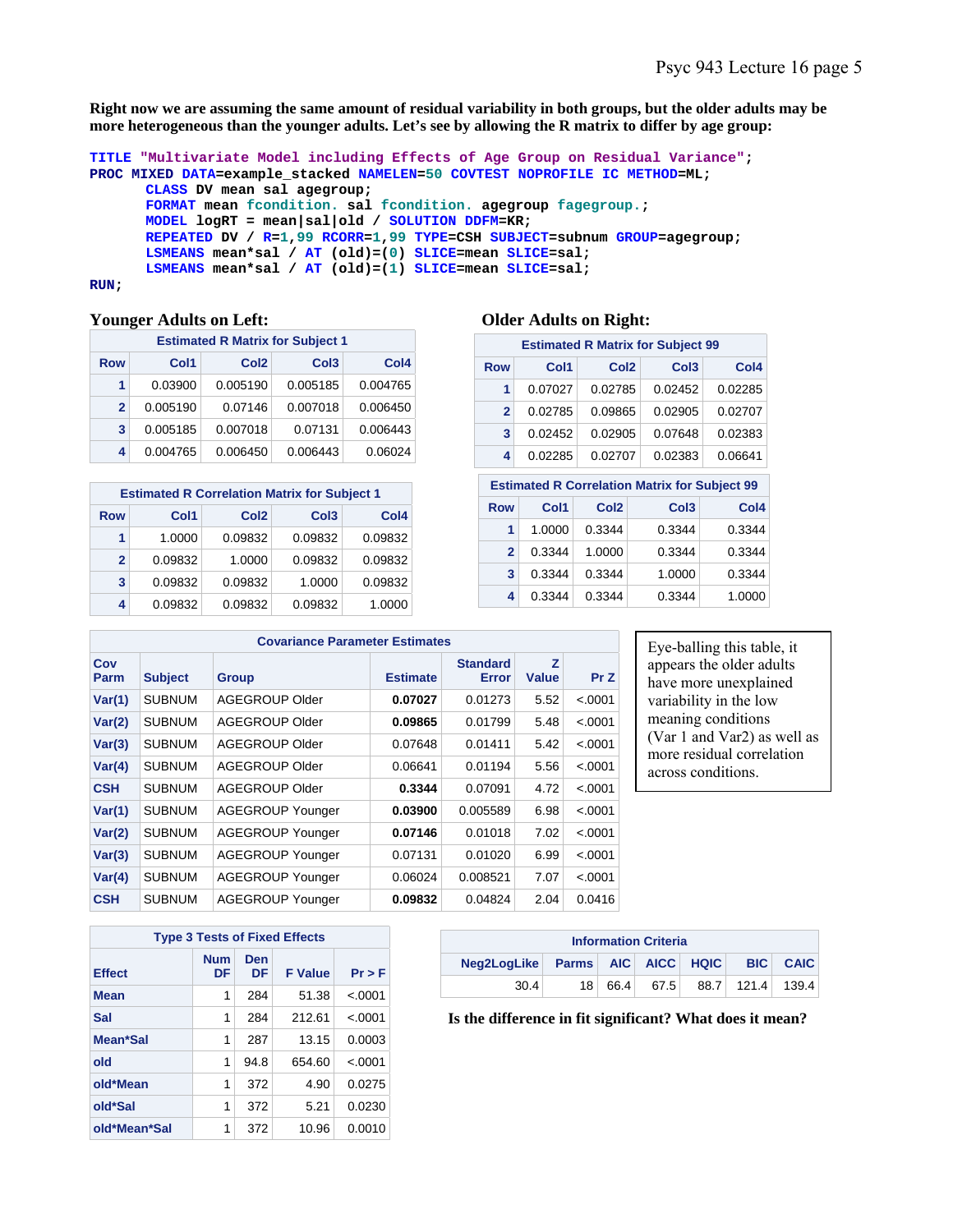**Right now we are assuming the same amount of residual variability in both groups, but the older adults may be more heterogeneous than the younger adults. Let's see by allowing the R matrix to differ by age group:** 

```
TITLE "Multivariate Model including Effects of Age Group on Residual Variance"; 
PROC MIXED DATA=example_stacked NAMELEN=50 COVTEST NOPROFILE IC METHOD=ML; 
       CLASS DV mean sal agegroup; 
       FORMAT mean fcondition. sal fcondition. agegroup fagegroup.; 
      MODEL logRT = mean|sal|old / SOLUTION DDFM=KR; 
      REPEATED DV / R=1,99 RCORR=1,99 TYPE=CSH SUBJECT=subnum GROUP=agegroup; 
      LSMEANS mean*sal / AT (old)=(0) SLICE=mean SLICE=sal; 
      LSMEANS mean*sal / AT (old)=(1) SLICE=mean SLICE=sal; 
RUN;
```
#### **Younger Adults on Left: Older Adults on Right:**

|              | <b>Estimated R Matrix for Subject 1</b> |                  |                  |          |  |  |  |  |  |  |  |
|--------------|-----------------------------------------|------------------|------------------|----------|--|--|--|--|--|--|--|
| <b>Row</b>   | Col1                                    | Col <sub>2</sub> | Col <sub>4</sub> |          |  |  |  |  |  |  |  |
| 1            | 0.03900                                 | 0.005190         | 0.005185         | 0.004765 |  |  |  |  |  |  |  |
| $\mathbf{2}$ | 0.005190                                | 0.07146          | 0.007018         | 0.006450 |  |  |  |  |  |  |  |
| 3            | 0.005185                                | 0.007018         | 0.07131          | 0.006443 |  |  |  |  |  |  |  |
| 4            | 0.004765                                | 0.006450         | 0.006443         | 0.06024  |  |  |  |  |  |  |  |

| <b>Estimated R Correlation Matrix for Subject 1</b> |         |                  |                  |                  |  |  |  |  |  |  |  |
|-----------------------------------------------------|---------|------------------|------------------|------------------|--|--|--|--|--|--|--|
| <b>Row</b>                                          | Col1    | Col <sub>2</sub> | Col <sub>3</sub> | Col <sub>4</sub> |  |  |  |  |  |  |  |
| 1                                                   | 1.0000  | 0.09832          | 0.09832          | 0.09832          |  |  |  |  |  |  |  |
| $\mathbf{2}$                                        | 0.09832 | 1.0000           | 0.09832          | 0.09832          |  |  |  |  |  |  |  |
| 3                                                   | 0.09832 | 0.09832          | 1.0000           | 0.09832          |  |  |  |  |  |  |  |
| 4                                                   | 0.09832 | 0.09832          | 0.09832          | 1.0000           |  |  |  |  |  |  |  |

| <b>Estimated R Matrix for Subject 99</b> |         |                  |                  |                  |  |  |  |  |  |  |  |
|------------------------------------------|---------|------------------|------------------|------------------|--|--|--|--|--|--|--|
| Row                                      | Col1    | Col <sub>2</sub> | Col <sub>3</sub> | Col <sub>4</sub> |  |  |  |  |  |  |  |
|                                          | 0.07027 | 0.02785          | 0.02452          | 0.02285          |  |  |  |  |  |  |  |
| $\mathbf{2}$                             | 0.02785 | 0.09865          | 0.02905          | 0.02707          |  |  |  |  |  |  |  |
| 3                                        | 0.02452 | 0.02905          | 0.07648          | 0.02383          |  |  |  |  |  |  |  |
| 4                                        | 0.02285 | 0.02707          | 0.02383          | 0.06641          |  |  |  |  |  |  |  |

| <b>Estimated R Correlation Matrix for Subject 99</b> |        |                  |                  |                  |  |  |  |  |  |  |
|------------------------------------------------------|--------|------------------|------------------|------------------|--|--|--|--|--|--|
| <b>Row</b>                                           | Col1   | Col <sub>2</sub> | Col <sub>3</sub> | Col <sub>4</sub> |  |  |  |  |  |  |
| 1                                                    | 1.0000 | 0.3344           | 0.3344           | 0.3344           |  |  |  |  |  |  |
| $\mathbf{p}$                                         | 0.3344 | 1.0000           | 0.3344           | 0.3344           |  |  |  |  |  |  |
| 3                                                    | 0.3344 | 0.3344           | 1.0000           | 0.3344           |  |  |  |  |  |  |
| 4                                                    | 0.3344 | 0.3344           | 0.3344           | 1.0000           |  |  |  |  |  |  |

|             | <b>Covariance Parameter Estimates</b> |                         |                 |                          |                   |          |  |  |  |  |  |  |
|-------------|---------------------------------------|-------------------------|-----------------|--------------------------|-------------------|----------|--|--|--|--|--|--|
| Cov<br>Parm | <b>Subject</b>                        | <b>Group</b>            | <b>Estimate</b> | <b>Standard</b><br>Error | Z<br><b>Value</b> | Pr Z     |  |  |  |  |  |  |
| Var(1)      | <b>SUBNUM</b>                         | AGEGROUP Older          | 0.07027         | 0.01273                  | 5.52              | < .0001  |  |  |  |  |  |  |
| Var(2)      | <b>SUBNUM</b>                         | AGEGROUP Older          | 0.09865         | 0.01799                  | 5.48              | < .0001  |  |  |  |  |  |  |
| Var(3)      | <b>SUBNUM</b>                         | AGEGROUP Older          | 0.07648         | 0.01411                  | 5.42              | < .0001  |  |  |  |  |  |  |
| Var(4)      | <b>SUBNUM</b>                         | AGEGROUP Older          | 0.06641         | 0.01194                  | 5.56              | < .0001  |  |  |  |  |  |  |
| <b>CSH</b>  | <b>SUBNUM</b>                         | AGEGROUP Older          | 0.3344          | 0.07091                  | 4.72              | $-.0001$ |  |  |  |  |  |  |
| Var(1)      | <b>SUBNUM</b>                         | <b>AGEGROUP Younger</b> | 0.03900         | 0.005589                 | 6.98              | < .0001  |  |  |  |  |  |  |
| Var(2)      | <b>SUBNUM</b>                         | <b>AGEGROUP Younger</b> | 0.07146         | 0.01018                  | 7.02              | < .0001  |  |  |  |  |  |  |
| Var(3)      | <b>SUBNUM</b>                         | <b>AGEGROUP Younger</b> | 0.07131         | 0.01020                  | 6.99              | < .0001  |  |  |  |  |  |  |
| Var(4)      | <b>SUBNUM</b>                         | <b>AGEGROUP Younger</b> | 0.06024         | 0.008521                 | 7.07              | < .0001  |  |  |  |  |  |  |
| <b>CSH</b>  | SUBNUM                                | <b>AGEGROUP Younger</b> | 0.09832         | 0.04824                  | 2.04              | 0.0416   |  |  |  |  |  |  |

Eye-balling this table, it appears the older adults have more unexplained variability in the low meaning conditions (Var 1 and Var2) as well as more residual correlation across conditions.

| <b>Type 3 Tests of Fixed Effects</b> |                  |           |                |          |  |  |  |  |  |  |
|--------------------------------------|------------------|-----------|----------------|----------|--|--|--|--|--|--|
| <b>Effect</b>                        | <b>Num</b><br>DF | Den<br>DF | <b>F</b> Value | $Pr$ > F |  |  |  |  |  |  |
| <b>Mean</b>                          | 1                | 284       | 51.38          | < .0001  |  |  |  |  |  |  |
| Sal                                  | 1                | 284       | 212.61         | $-.0001$ |  |  |  |  |  |  |
| Mean*Sal                             | 1                | 287       | 13.15          | 0.0003   |  |  |  |  |  |  |
| old                                  | 1                | 94.8      | 654.60         | < .0001  |  |  |  |  |  |  |
| old*Mean                             | 1                | 372       | 4.90           | 0.0275   |  |  |  |  |  |  |
| old*Sal                              | 1                | 372       | 5.21           | 0.0230   |  |  |  |  |  |  |
| old*Mean*Sal                         | 1                | 372       | 10.96          | 0.0010   |  |  |  |  |  |  |

| <b>Information Criteria</b>                        |                 |      |      |  |                  |  |  |  |  |  |
|----------------------------------------------------|-----------------|------|------|--|------------------|--|--|--|--|--|
| Neg2LogLike Parms AIC AICC HQIC<br><b>BIC CAIC</b> |                 |      |      |  |                  |  |  |  |  |  |
| 30.4                                               | 18 <sup>1</sup> | 66.4 | 67.5 |  | 88.7 121.4 139.4 |  |  |  |  |  |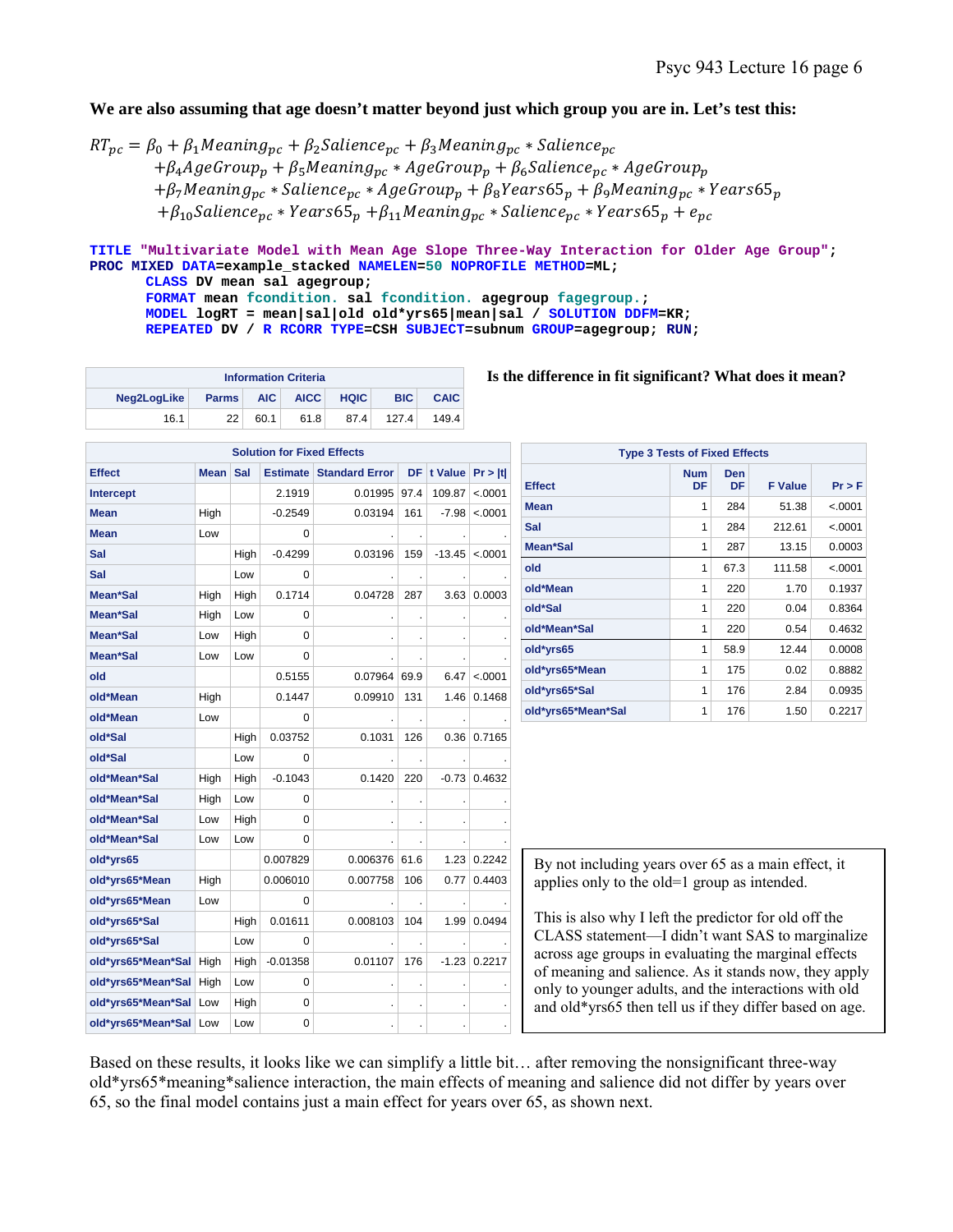### We are also assuming that age doesn't matter beyond just which group you are in. Let's test this:

 $RT_{pc} = \beta_0 + \beta_1 Meaning_{pc} + \beta_2 Salience_{pc} + \beta_3 Meaning_{pc} * Salience_{pc}$  $+ \beta_4 A$ geGrou $p_n + \beta_5 M$ eaning<sub>nc</sub> \*  $A$ geGrou $p_n + \beta_6 S$ alience<sub>nc</sub> \*  $A$ geGrou $p_n$  $+ \beta_7$ Meaning<sub>vc</sub> \* Salience<sub>vc</sub> \* AgeGroup<sub>v</sub> +  $\beta_8$ Years65<sub>v</sub> +  $\beta_9$ Meaning<sub>vc</sub> \* Years65<sub>v</sub>  $+ \beta_{10}$ Salience<sub>pc</sub> \* Years65<sub>p</sub> +  $\beta_{11}$ Meaning<sub>pc</sub> \* Salience<sub>pc</sub> \* Years65<sub>p</sub> + e<sub>pc</sub>

# **TITLE "Multivariate Model with Mean Age Slope Three-Way Interaction for Older Age Group"; PROC MIXED DATA=example\_stacked NAMELEN=50 NOPROFILE METHOD=ML;**

**CLASS DV mean sal agegroup; FORMAT mean fcondition. sal fcondition. agegroup fagegroup.; MODEL logRT = mean|sal|old old\*yrs65|mean|sal / SOLUTION DDFM=KR; REPEATED DV / R RCORR TYPE=CSH SUBJECT=subnum GROUP=agegroup; RUN;** 

| <b>Information Criteria</b>                                                                          |    |      |      |      |       |       |  |  |  |
|------------------------------------------------------------------------------------------------------|----|------|------|------|-------|-------|--|--|--|
| <b>BIC</b><br><b>AICC</b><br><b>CAIC</b><br>Neg2LogLike<br><b>AIC</b><br><b>HQIC</b><br><b>Parms</b> |    |      |      |      |       |       |  |  |  |
| 16.1                                                                                                 | 22 | 60.1 | 61.8 | 87.4 | 127.4 | 149.4 |  |  |  |

| <b>Solution for Fixed Effects</b> |             |      |                 |                       |      |          |         |  |  |  |
|-----------------------------------|-------------|------|-----------------|-----------------------|------|----------|---------|--|--|--|
| <b>Effect</b>                     | <b>Mean</b> | Sal  | <b>Estimate</b> | <b>Standard Error</b> | DF   | t Value  | Pr >  t |  |  |  |
| <b>Intercept</b>                  |             |      | 2.1919          | 0.01995               | 97.4 | 109.87   | < .0001 |  |  |  |
| Mean                              | High        |      | $-0.2549$       | 0.03194               | 161  | -7.98    | <.0001  |  |  |  |
| <b>Mean</b>                       | Low         |      | 0               |                       |      |          |         |  |  |  |
| Sal                               |             | High | $-0.4299$       | 0.03196               | 159  | $-13.45$ | < .0001 |  |  |  |
| Sal                               |             | Low  | 0               |                       |      |          |         |  |  |  |
| Mean*Sal                          | High        | High | 0.1714          | 0.04728               | 287  | 3.63     | 0.0003  |  |  |  |
| Mean*Sal                          | High        | Low  | 0               |                       |      | $\cdot$  |         |  |  |  |
| Mean*Sal                          | Low         | High | $\Omega$        |                       |      |          |         |  |  |  |
| Mean*Sal                          | Low         | Low  | $\Omega$        |                       |      |          |         |  |  |  |
| old                               |             |      | 0.5155          | 0.07964               | 69.9 | 6.47     | < .0001 |  |  |  |
| old*Mean                          | High        |      | 0.1447          | 0.09910               | 131  | 1.46     | 0.1468  |  |  |  |
| old*Mean                          | Low         |      | 0               |                       |      |          |         |  |  |  |
| old*Sal                           |             | High | 0.03752         | 0.1031                | 126  | 0.36     | 0.7165  |  |  |  |
| old*Sal                           |             | Low  | 0               |                       |      | ä,       |         |  |  |  |
| old*Mean*Sal                      | High        | High | $-0.1043$       | 0.1420                | 220  | $-0.73$  | 0.4632  |  |  |  |
| old*Mean*Sal                      | High        | Low  | 0               |                       |      |          |         |  |  |  |
| old*Mean*Sal                      | Low         | High | $\Omega$        |                       |      |          |         |  |  |  |
| old*Mean*Sal                      | Low         | Low  | $\Omega$        |                       |      |          |         |  |  |  |
| old*yrs65                         |             |      | 0.007829        | 0.006376              | 61.6 | 1.23     | 0.2242  |  |  |  |
| old*yrs65*Mean                    | High        |      | 0.006010        | 0.007758              | 106  | 0.77     | 0.4403  |  |  |  |
| old*yrs65*Mean                    | Low         |      | $\Omega$        |                       |      |          |         |  |  |  |
| old*yrs65*Sal                     |             | High | 0.01611         | 0.008103              | 104  | 1.99     | 0.0494  |  |  |  |
| old*yrs65*Sal                     |             | Low  | $\Omega$        |                       |      |          |         |  |  |  |
| old*yrs65*Mean*Sal                | High        | High | $-0.01358$      | 0.01107               | 176  | $-1.23$  | 0.2217  |  |  |  |
| old*yrs65*Mean*Sal                | High        | Low  | 0               |                       |      |          |         |  |  |  |
| old*yrs65*Mean*Sal                | Low         | High | 0               |                       |      |          |         |  |  |  |
| old*yrs65*Mean*Sal                | Low         | Low  | 0               |                       |      |          |         |  |  |  |

| <b>Type 3 Tests of Fixed Effects</b> |                  |                  |                |            |  |  |  |  |  |
|--------------------------------------|------------------|------------------|----------------|------------|--|--|--|--|--|
| <b>Effect</b>                        | <b>Num</b><br>DF | <b>Den</b><br>DF | <b>F</b> Value | $Pr$ > $F$ |  |  |  |  |  |
| Mean                                 | 1                | 284              | 51.38          | < .0001    |  |  |  |  |  |
| Sal                                  | 1                | 284              | 212.61         | < .0001    |  |  |  |  |  |
| Mean*Sal                             | 1                | 287              | 13.15          | 0.0003     |  |  |  |  |  |
| old                                  | 1                | 67.3             | 111.58         | < .0001    |  |  |  |  |  |
| old*Mean                             | 1                | 220              | 1.70           | 0.1937     |  |  |  |  |  |
| old*Sal                              | 1                | 220              | 0.04           | 0.8364     |  |  |  |  |  |
| old*Mean*Sal                         | 1                | 220              | 0.54           | 0.4632     |  |  |  |  |  |
| old*yrs65                            | 1                | 58.9             | 12.44          | 0.0008     |  |  |  |  |  |
| old*yrs65*Mean                       | 1                | 175              | 0.02           | 0.8882     |  |  |  |  |  |
| old*yrs65*Sal                        | 1                | 176              | 2.84           | 0.0935     |  |  |  |  |  |
| old*yrs65*Mean*Sal                   | 1                | 176              | 1.50           | 0.2217     |  |  |  |  |  |

By not including years over 65 as a main effect, it applies only to the old=1 group as intended.

This is also why I left the predictor for old off the CLASS statement—I didn't want SAS to marginalize across age groups in evaluating the marginal effects of meaning and salience. As it stands now, they apply only to younger adults, and the interactions with old and old\*yrs65 then tell us if they differ based on age.

Based on these results, it looks like we can simplify a little bit… after removing the nonsignificant three-way old\*yrs65\*meaning\*salience interaction, the main effects of meaning and salience did not differ by years over 65, so the final model contains just a main effect for years over 65, as shown next.